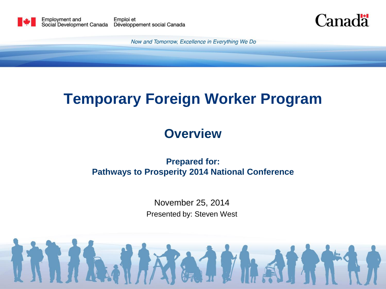

Canadä

Now and Tomorrow, Excellence in Everything We Do

## **Temporary Foreign Worker Program**

### **Overview**

#### **Prepared for: Pathways to Prosperity 2014 National Conference**

November 25, 2014 Presented by: Steven West

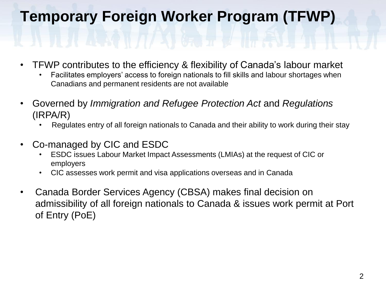# **Temporary Foreign Worker Program (TFWP)**

- TFWP contributes to the efficiency & flexibility of Canada's labour market
	- Facilitates employers' access to foreign nationals to fill skills and labour shortages when Canadians and permanent residents are not available
- Governed by *Immigration and Refugee Protection Act* and *Regulations*  (IRPA/R)
	- Regulates entry of all foreign nationals to Canada and their ability to work during their stay
- Co-managed by CIC and ESDC
	- ESDC issues Labour Market Impact Assessments (LMIAs) at the request of CIC or employers
	- CIC assesses work permit and visa applications overseas and in Canada
- Canada Border Services Agency (CBSA) makes final decision on admissibility of all foreign nationals to Canada & issues work permit at Port of Entry (PoE)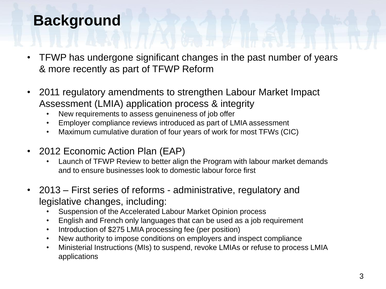# **Background**

- TFWP has undergone significant changes in the past number of years & more recently as part of TFWP Reform
- 2011 regulatory amendments to strengthen Labour Market Impact Assessment (LMIA) application process & integrity
	- New requirements to assess genuineness of job offer
	- Employer compliance reviews introduced as part of LMIA assessment
	- Maximum cumulative duration of four years of work for most TFWs (CIC)
- 2012 Economic Action Plan (EAP)
	- Launch of TFWP Review to better align the Program with labour market demands and to ensure businesses look to domestic labour force first
- 2013 First series of reforms administrative, regulatory and legislative changes, including:
	- Suspension of the Accelerated Labour Market Opinion process
	- English and French only languages that can be used as a job requirement
	- Introduction of \$275 LMIA processing fee (per position)
	- New authority to impose conditions on employers and inspect compliance
	- Ministerial Instructions (MIs) to suspend, revoke LMIAs or refuse to process LMIA applications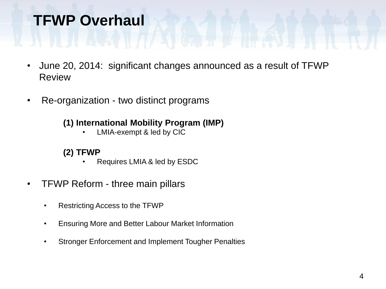## **TFWP Overhaul**

- June 20, 2014: significant changes announced as a result of TFWP **Review**
- Re-organization two distinct programs

#### **(1) International Mobility Program (IMP)**

LMIA-exempt & led by CIC

#### **(2) TFWP**

- Requires LMIA & led by ESDC
- TFWP Reform three main pillars
	- Restricting Access to the TFWP
	- Ensuring More and Better Labour Market Information
	- Stronger Enforcement and Implement Tougher Penalties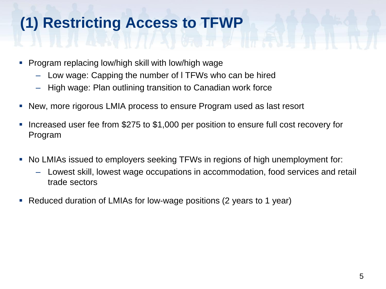# **(1) Restricting Access to TFWP**

- **Program replacing low/high skill with low/high wage** 
	- Low wage: Capping the number of l TFWs who can be hired
	- High wage: Plan outlining transition to Canadian work force
- New, more rigorous LMIA process to ensure Program used as last resort
- Increased user fee from \$275 to \$1,000 per position to ensure full cost recovery for Program
- No LMIAs issued to employers seeking TFWs in regions of high unemployment for:
	- Lowest skill, lowest wage occupations in accommodation, food services and retail trade sectors
- Reduced duration of LMIAs for low-wage positions (2 years to 1 year)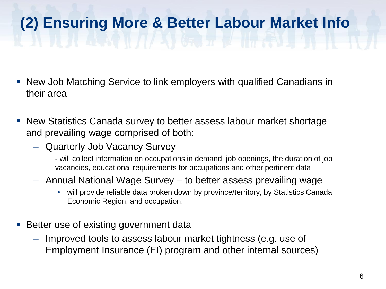# **(2) Ensuring More & Better Labour Market Info**

- New Job Matching Service to link employers with qualified Canadians in their area
- New Statistics Canada survey to better assess labour market shortage and prevailing wage comprised of both:
	- Quarterly Job Vacancy Survey
		- will collect information on occupations in demand, job openings, the duration of job vacancies, educational requirements for occupations and other pertinent data
	- Annual National Wage Survey to better assess prevailing wage
		- will provide reliable data broken down by province/territory, by Statistics Canada Economic Region, and occupation.
- **Better use of existing government data** 
	- Improved tools to assess labour market tightness (e.g. use of Employment Insurance (EI) program and other internal sources)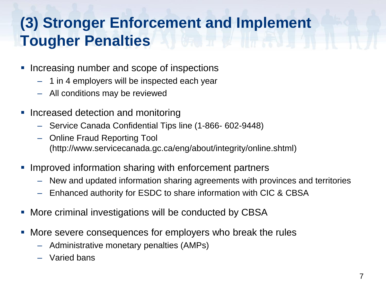# **(3) Stronger Enforcement and Implement Tougher Penalties**

- Increasing number and scope of inspections
	- 1 in 4 employers will be inspected each year
	- All conditions may be reviewed
- **Increased detection and monitoring** 
	- Service Canada Confidential Tips line (1-866- 602-9448)
	- Online Fraud Reporting Tool (http://www.servicecanada.gc.ca/eng/about/integrity/online.shtml)
- Improved information sharing with enforcement partners
	- New and updated information sharing agreements with provinces and territories
	- Enhanced authority for ESDC to share information with CIC & CBSA
- More criminal investigations will be conducted by CBSA
- More severe consequences for employers who break the rules
	- Administrative monetary penalties (AMPs)
	- Varied bans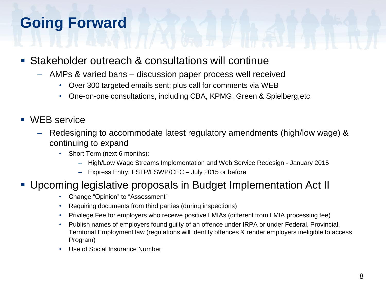# **Going Forward**

- Stakeholder outreach & consultations will continue
	- AMPs & varied bans discussion paper process well received
		- Over 300 targeted emails sent; plus call for comments via WEB
		- One-on-one consultations, including CBA, KPMG, Green & Spielberg,etc.
- WEB service
	- Redesigning to accommodate latest regulatory amendments (high/low wage) & continuing to expand
		- Short Term (next 6 months):
			- High/Low Wage Streams Implementation and Web Service Redesign January 2015
			- Express Entry: FSTP/FSWP/CEC July 2015 or before

#### Upcoming legislative proposals in Budget Implementation Act II

- Change "Opinion" to "Assessment"
- Requiring documents from third parties (during inspections)
- Privilege Fee for employers who receive positive LMIAs (different from LMIA processing fee)
- Publish names of employers found guilty of an offence under IRPA or under Federal, Provincial, Territorial Employment law (regulations will identify offences & render employers ineligible to access Program)
- Use of Social Insurance Number